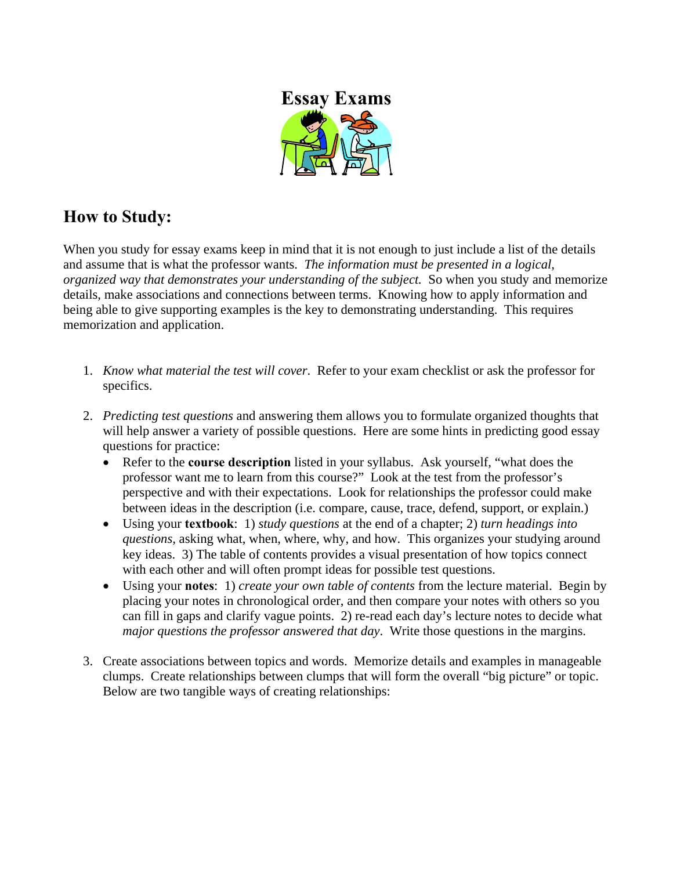

# **How to Study:**

When you study for essay exams keep in mind that it is not enough to just include a list of the details and assume that is what the professor wants. *The information must be presented in a logical, organized way that demonstrates your understanding of the subject.* So when you study and memorize details, make associations and connections between terms. Knowing how to apply information and being able to give supporting examples is the key to demonstrating understanding. This requires memorization and application.

- 1. *Know what material the test will cover*. Refer to your exam checklist or ask the professor for specifics.
- 2. *Predicting test questions* and answering them allows you to formulate organized thoughts that will help answer a variety of possible questions. Here are some hints in predicting good essay questions for practice:
	- Refer to the **course description** listed in your syllabus. Ask yourself, "what does the professor want me to learn from this course?" Look at the test from the professor's perspective and with their expectations. Look for relationships the professor could make between ideas in the description (i.e. compare, cause, trace, defend, support, or explain.)
	- Using your **textbook**: 1) *study questions* at the end of a chapter; 2) *turn headings into questions,* asking what, when, where, why, and how. This organizes your studying around key ideas. 3) The table of contents provides a visual presentation of how topics connect with each other and will often prompt ideas for possible test questions.
	- Using your **notes**: 1) *create your own table of contents* from the lecture material. Begin by placing your notes in chronological order, and then compare your notes with others so you can fill in gaps and clarify vague points. 2) re-read each day's lecture notes to decide what *major questions the professor answered that day*. Write those questions in the margins.
- 3. Create associations between topics and words. Memorize details and examples in manageable clumps. Create relationships between clumps that will form the overall "big picture" or topic. Below are two tangible ways of creating relationships: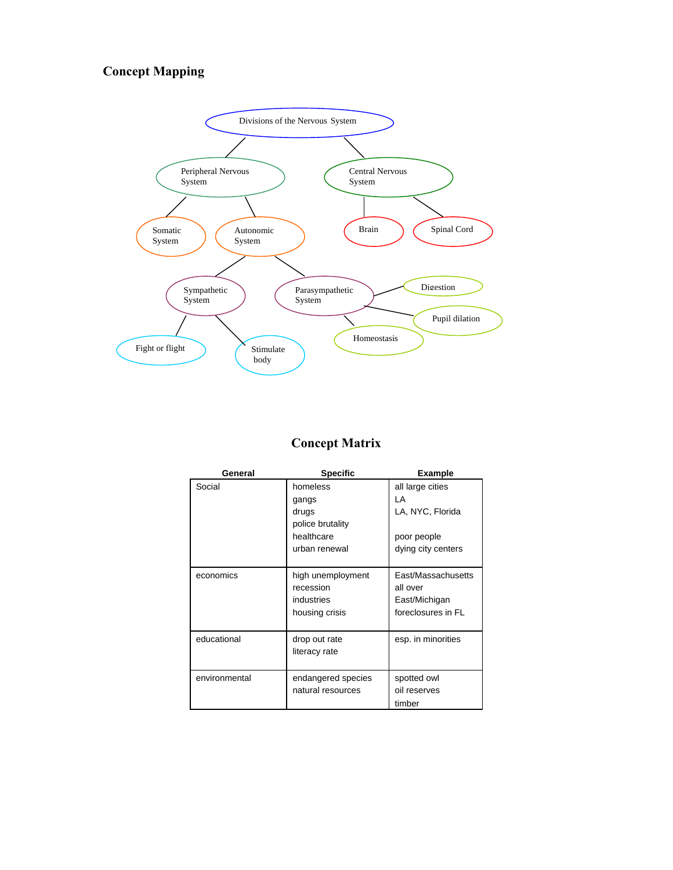### **Concept Mapping**



### **Concept Matrix**

| General       | <b>Specific</b>                                                               | <b>Example</b>                                                                  |
|---------------|-------------------------------------------------------------------------------|---------------------------------------------------------------------------------|
| Social        | homeless<br>gangs<br>drugs<br>police brutality<br>healthcare<br>urban renewal | all large cities<br>ΙA<br>LA, NYC, Florida<br>poor people<br>dying city centers |
| economics     | high unemployment<br>recession<br>industries<br>housing crisis                | East/Massachusetts<br>all over<br>East/Michigan<br>foreclosures in FL           |
| educational   | drop out rate<br>literacy rate                                                | esp. in minorities                                                              |
| environmental | endangered species<br>natural resources                                       | spotted owl<br>oil reserves<br>timber                                           |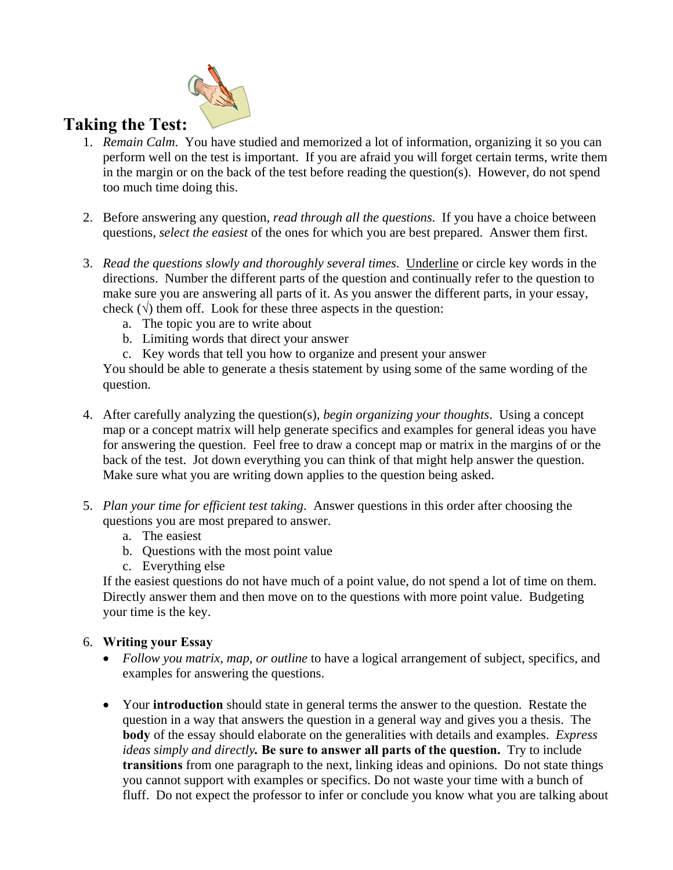

### **Taking the Test:**

- 1. *Remain Calm*. You have studied and memorized a lot of information, organizing it so you can perform well on the test is important. If you are afraid you will forget certain terms, write them in the margin or on the back of the test before reading the question(s). However, do not spend too much time doing this.
- 2. Before answering any question, *read through all the questions*. If you have a choice between questions, *select the easiest* of the ones for which you are best prepared. Answer them first.
- 3. *Read the questions slowly and thoroughly several times*. Underline or circle key words in the directions. Number the different parts of the question and continually refer to the question to make sure you are answering all parts of it. As you answer the different parts, in your essay, check  $(\sqrt{)}$  them off. Look for these three aspects in the question:
	- a. The topic you are to write about
	- b. Limiting words that direct your answer
	- c. Key words that tell you how to organize and present your answer

You should be able to generate a thesis statement by using some of the same wording of the question.

- 4. After carefully analyzing the question(s), *begin organizing your thoughts*. Using a concept map or a concept matrix will help generate specifics and examples for general ideas you have for answering the question. Feel free to draw a concept map or matrix in the margins of or the back of the test. Jot down everything you can think of that might help answer the question. Make sure what you are writing down applies to the question being asked.
- 5. *Plan your time for efficient test taking*. Answer questions in this order after choosing the questions you are most prepared to answer.
	- a. The easiest
	- b. Questions with the most point value
	- c. Everything else

If the easiest questions do not have much of a point value, do not spend a lot of time on them. Directly answer them and then move on to the questions with more point value. Budgeting your time is the key.

### 6. **Writing your Essay**

- *Follow you matrix, map, or outline* to have a logical arrangement of subject, specifics, and examples for answering the questions.
- Your **introduction** should state in general terms the answer to the question. Restate the question in a way that answers the question in a general way and gives you a thesis. The **body** of the essay should elaborate on the generalities with details and examples. *Express ideas simply and directly.* **Be sure to answer all parts of the question.** Try to include **transitions** from one paragraph to the next, linking ideas and opinions. Do not state things you cannot support with examples or specifics. Do not waste your time with a bunch of fluff. Do not expect the professor to infer or conclude you know what you are talking about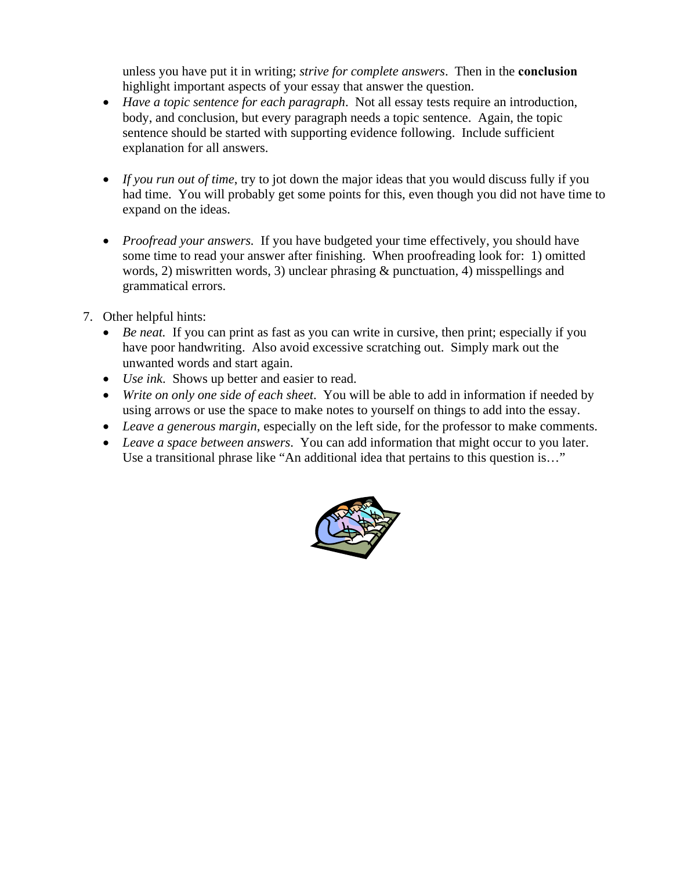unless you have put it in writing; *strive for complete answers*. Then in the **conclusion** highlight important aspects of your essay that answer the question.

- *Have a topic sentence for each paragraph*. Not all essay tests require an introduction, body, and conclusion, but every paragraph needs a topic sentence. Again, the topic sentence should be started with supporting evidence following. Include sufficient explanation for all answers.
- *If you run out of time*, try to jot down the major ideas that you would discuss fully if you had time. You will probably get some points for this, even though you did not have time to expand on the ideas.
- *Proofread your answers.* If you have budgeted your time effectively, you should have some time to read your answer after finishing. When proofreading look for: 1) omitted words, 2) miswritten words, 3) unclear phrasing & punctuation, 4) misspellings and grammatical errors.
- 7. Other helpful hints:
	- *Be neat.* If you can print as fast as you can write in cursive, then print; especially if you have poor handwriting. Also avoid excessive scratching out. Simply mark out the unwanted words and start again.
	- *Use ink*. Shows up better and easier to read.
	- *Write on only one side of each sheet*. You will be able to add in information if needed by using arrows or use the space to make notes to yourself on things to add into the essay.
	- *Leave a generous margin*, especially on the left side, for the professor to make comments.
	- *Leave a space between answers*. You can add information that might occur to you later. Use a transitional phrase like "An additional idea that pertains to this question is…"